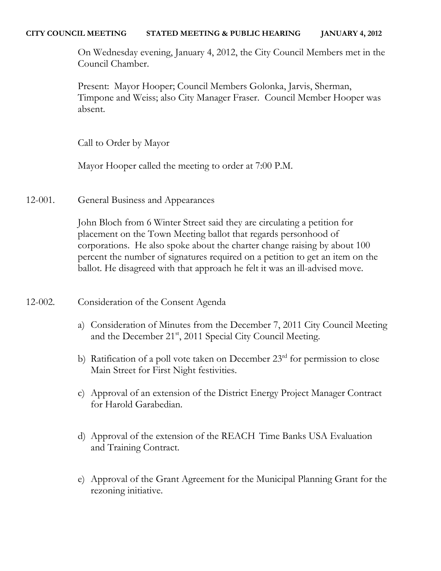## **CITY COUNCIL MEETING STATED MEETING & PUBLIC HEARING JANUARY 4, 2012**

On Wednesday evening, January 4, 2012, the City Council Members met in the Council Chamber.

Present: Mayor Hooper; Council Members Golonka, Jarvis, Sherman, Timpone and Weiss; also City Manager Fraser. Council Member Hooper was absent.

Call to Order by Mayor

Mayor Hooper called the meeting to order at 7:00 P.M.

12-001. General Business and Appearances

John Bloch from 6 Winter Street said they are circulating a petition for placement on the Town Meeting ballot that regards personhood of corporations. He also spoke about the charter change raising by about 100 percent the number of signatures required on a petition to get an item on the ballot. He disagreed with that approach he felt it was an ill-advised move.

- 12-002. Consideration of the Consent Agenda
	- a) Consideration of Minutes from the December 7, 2011 City Council Meeting and the December 21<sup>st</sup>, 2011 Special City Council Meeting.
	- b) Ratification of a poll vote taken on December  $23<sup>rd</sup>$  for permission to close Main Street for First Night festivities.
	- c) Approval of an extension of the District Energy Project Manager Contract for Harold Garabedian.
	- d) Approval of the extension of the REACH Time Banks USA Evaluation and Training Contract.
	- e) Approval of the Grant Agreement for the Municipal Planning Grant for the rezoning initiative.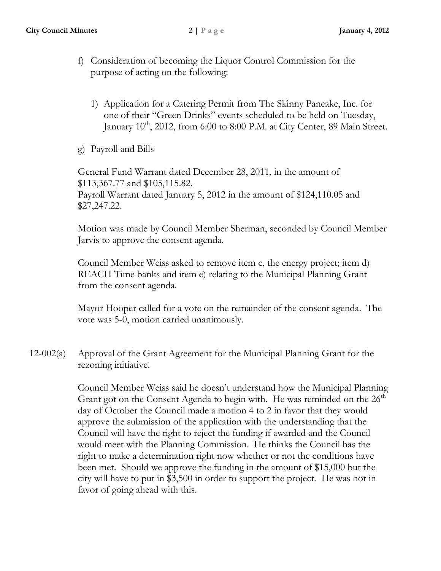- f) Consideration of becoming the Liquor Control Commission for the purpose of acting on the following:
	- 1) Application for a Catering Permit from The Skinny Pancake, Inc. for one of their "Green Drinks" events scheduled to be held on Tuesday, January  $10^{th}$ , 2012, from 6:00 to 8:00 P.M. at City Center, 89 Main Street.
- g) Payroll and Bills

General Fund Warrant dated December 28, 2011, in the amount of \$113,367.77 and \$105,115.82. Payroll Warrant dated January 5, 2012 in the amount of \$124,110.05 and \$27,247.22.

Motion was made by Council Member Sherman, seconded by Council Member Jarvis to approve the consent agenda.

Council Member Weiss asked to remove item c, the energy project; item d) REACH Time banks and item e) relating to the Municipal Planning Grant from the consent agenda.

Mayor Hooper called for a vote on the remainder of the consent agenda. The vote was 5-0, motion carried unanimously.

12-002(a) Approval of the Grant Agreement for the Municipal Planning Grant for the rezoning initiative.

> Council Member Weiss said he doesn't understand how the Municipal Planning Grant got on the Consent Agenda to begin with. He was reminded on the  $26<sup>th</sup>$ day of October the Council made a motion 4 to 2 in favor that they would approve the submission of the application with the understanding that the Council will have the right to reject the funding if awarded and the Council would meet with the Planning Commission. He thinks the Council has the right to make a determination right now whether or not the conditions have been met. Should we approve the funding in the amount of \$15,000 but the city will have to put in \$3,500 in order to support the project. He was not in favor of going ahead with this.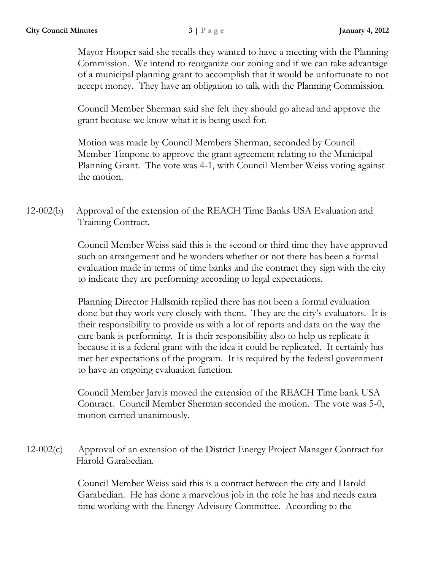Mayor Hooper said she recalls they wanted to have a meeting with the Planning Commission. We intend to reorganize our zoning and if we can take advantage of a municipal planning grant to accomplish that it would be unfortunate to not accept money. They have an obligation to talk with the Planning Commission.

Council Member Sherman said she felt they should go ahead and approve the grant because we know what it is being used for.

Motion was made by Council Members Sherman, seconded by Council Member Timpone to approve the grant agreement relating to the Municipal Planning Grant. The vote was 4-1, with Council Member Weiss voting against the motion.

12-002(b) Approval of the extension of the REACH Time Banks USA Evaluation and Training Contract.

> Council Member Weiss said this is the second or third time they have approved such an arrangement and he wonders whether or not there has been a formal evaluation made in terms of time banks and the contract they sign with the city to indicate they are performing according to legal expectations.

> Planning Director Hallsmith replied there has not been a formal evaluation done but they work very closely with them. They are the city's evaluators. It is their responsibility to provide us with a lot of reports and data on the way the care bank is performing. It is their responsibility also to help us replicate it because it is a federal grant with the idea it could be replicated. It certainly has met her expectations of the program. It is required by the federal government to have an ongoing evaluation function.

> Council Member Jarvis moved the extension of the REACH Time bank USA Contract. Council Member Sherman seconded the motion. The vote was 5-0, motion carried unanimously.

12-002(c) Approval of an extension of the District Energy Project Manager Contract for Harold Garabedian.

> Council Member Weiss said this is a contract between the city and Harold Garabedian. He has done a marvelous job in the role he has and needs extra time working with the Energy Advisory Committee. According to the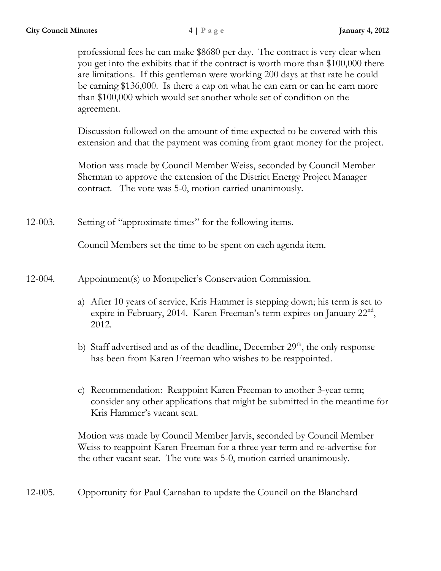professional fees he can make \$8680 per day. The contract is very clear when you get into the exhibits that if the contract is worth more than \$100,000 there are limitations. If this gentleman were working 200 days at that rate he could be earning \$136,000. Is there a cap on what he can earn or can he earn more than \$100,000 which would set another whole set of condition on the agreement.

Discussion followed on the amount of time expected to be covered with this extension and that the payment was coming from grant money for the project.

Motion was made by Council Member Weiss, seconded by Council Member Sherman to approve the extension of the District Energy Project Manager contract. The vote was 5-0, motion carried unanimously.

12-003. Setting of "approximate times" for the following items.

Council Members set the time to be spent on each agenda item.

12-004. Appointment(s) to Montpelier's Conservation Commission.

- a) After 10 years of service, Kris Hammer is stepping down; his term is set to expire in February, 2014. Karen Freeman's term expires on January 22<sup>nd</sup>, 2012.
- b) Staff advertised and as of the deadline, December  $29<sup>th</sup>$ , the only response has been from Karen Freeman who wishes to be reappointed.
- c) Recommendation: Reappoint Karen Freeman to another 3-year term; consider any other applications that might be submitted in the meantime for Kris Hammer's vacant seat.

Motion was made by Council Member Jarvis, seconded by Council Member Weiss to reappoint Karen Freeman for a three year term and re-advertise for the other vacant seat. The vote was 5-0, motion carried unanimously.

12-005. Opportunity for Paul Carnahan to update the Council on the Blanchard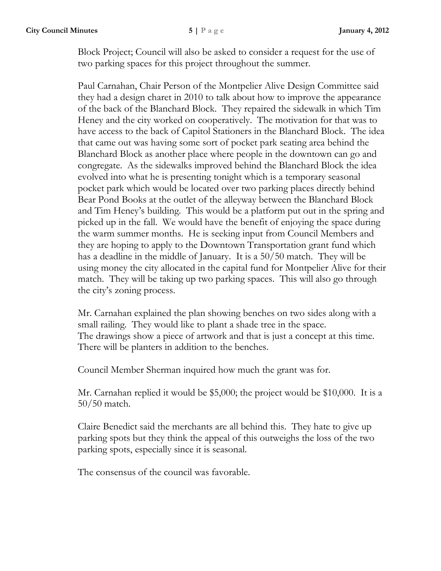Block Project; Council will also be asked to consider a request for the use of two parking spaces for this project throughout the summer.

Paul Carnahan, Chair Person of the Montpelier Alive Design Committee said they had a design charet in 2010 to talk about how to improve the appearance of the back of the Blanchard Block. They repaired the sidewalk in which Tim Heney and the city worked on cooperatively. The motivation for that was to have access to the back of Capitol Stationers in the Blanchard Block. The idea that came out was having some sort of pocket park seating area behind the Blanchard Block as another place where people in the downtown can go and congregate. As the sidewalks improved behind the Blanchard Block the idea evolved into what he is presenting tonight which is a temporary seasonal pocket park which would be located over two parking places directly behind Bear Pond Books at the outlet of the alleyway between the Blanchard Block and Tim Heney's building. This would be a platform put out in the spring and picked up in the fall. We would have the benefit of enjoying the space during the warm summer months. He is seeking input from Council Members and they are hoping to apply to the Downtown Transportation grant fund which has a deadline in the middle of January. It is a 50/50 match. They will be using money the city allocated in the capital fund for Montpelier Alive for their match. They will be taking up two parking spaces. This will also go through the city's zoning process.

Mr. Carnahan explained the plan showing benches on two sides along with a small railing. They would like to plant a shade tree in the space. The drawings show a piece of artwork and that is just a concept at this time. There will be planters in addition to the benches.

Council Member Sherman inquired how much the grant was for.

Mr. Carnahan replied it would be \$5,000; the project would be \$10,000. It is a 50/50 match.

Claire Benedict said the merchants are all behind this. They hate to give up parking spots but they think the appeal of this outweighs the loss of the two parking spots, especially since it is seasonal.

The consensus of the council was favorable.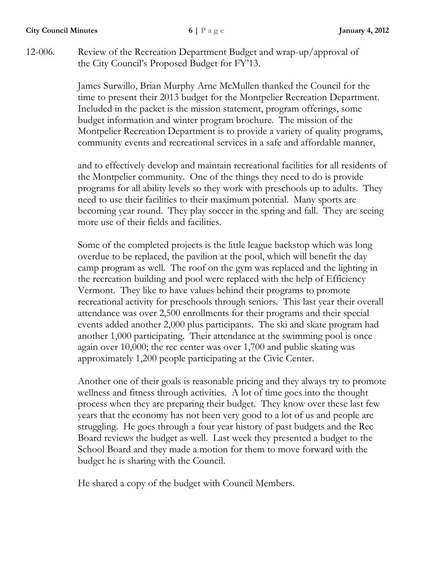**City Council Minutes 6 | P a g e January 4, 2012**

12-006. Review of the Recreation Department Budget and wrap-up/approval of the City Council's Proposed Budget for FY'13.

> James Surwillo, Brian Murphy Arne McMullen thanked the Council for the time to present their 2013 budget for the Montpelier Recreation Department. Included in the packet is the mission statement, program offerings, some budget information and winter program brochure. The mission of the Montpelier Recreation Department is to provide a variety of quality programs, community events and recreational services in a safe and affordable manner,

and to effectively develop and maintain recreational facilities for all residents of the Montpelier community. One of the things they need to do is provide programs for all ability levels so they work with preschools up to adults. They need to use their facilities to their maximum potential. Many sports are becoming year round. They play soccer in the spring and fall. They are seeing more use of their fields and facilities.

Some of the completed projects is the little league backstop which was long overdue to be replaced, the pavilion at the pool, which will benefit the day camp program as well. The roof on the gym was replaced and the lighting in the recreation building and pool were replaced with the help of Efficiency Vermont. They like to have values behind their programs to promote recreational activity for preschools through seniors. This last year their overall attendance was over 2,500 enrollments for their programs and their special events added another 2,000 plus participants. The ski and skate program had another 1,000 participating. Their attendance at the swimming pool is once again over 10,000; the rec center was over 1,700 and public skating was approximately 1,200 people participating at the Civic Center.

Another one of their goals is reasonable pricing and they always try to promote wellness and fitness through activities. A lot of time goes into the thought process when they are preparing their budget. They know over these last few years that the economy has not been very good to a lot of us and people are struggling. He goes through a four year history of past budgets and the Rec Board reviews the budget as well. Last week they presented a budget to the School Board and they made a motion for them to move forward with the budget he is sharing with the Council.

He shared a copy of the budget with Council Members.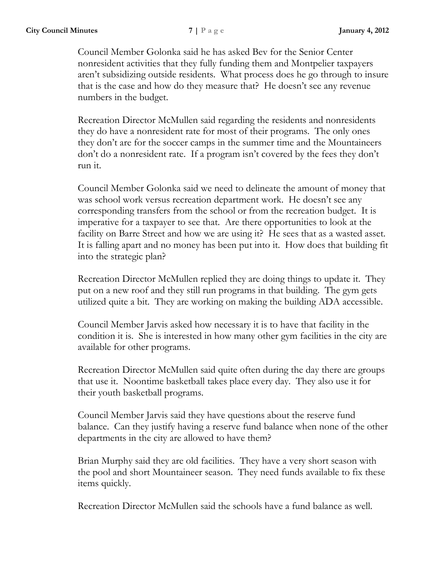Council Member Golonka said he has asked Bev for the Senior Center nonresident activities that they fully funding them and Montpelier taxpayers aren't subsidizing outside residents. What process does he go through to insure that is the case and how do they measure that? He doesn't see any revenue numbers in the budget.

Recreation Director McMullen said regarding the residents and nonresidents they do have a nonresident rate for most of their programs. The only ones they don't are for the soccer camps in the summer time and the Mountaineers don't do a nonresident rate. If a program isn't covered by the fees they don't run it.

Council Member Golonka said we need to delineate the amount of money that was school work versus recreation department work. He doesn't see any corresponding transfers from the school or from the recreation budget. It is imperative for a taxpayer to see that. Are there opportunities to look at the facility on Barre Street and how we are using it? He sees that as a wasted asset. It is falling apart and no money has been put into it. How does that building fit into the strategic plan?

Recreation Director McMullen replied they are doing things to update it. They put on a new roof and they still run programs in that building. The gym gets utilized quite a bit. They are working on making the building ADA accessible.

Council Member Jarvis asked how necessary it is to have that facility in the condition it is. She is interested in how many other gym facilities in the city are available for other programs.

Recreation Director McMullen said quite often during the day there are groups that use it. Noontime basketball takes place every day. They also use it for their youth basketball programs.

Council Member Jarvis said they have questions about the reserve fund balance. Can they justify having a reserve fund balance when none of the other departments in the city are allowed to have them?

Brian Murphy said they are old facilities. They have a very short season with the pool and short Mountaineer season. They need funds available to fix these items quickly.

Recreation Director McMullen said the schools have a fund balance as well.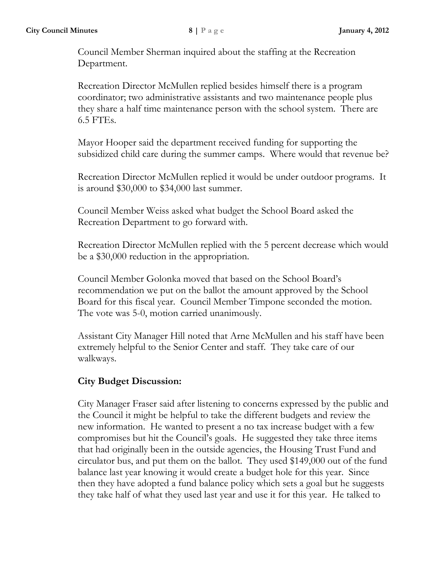Council Member Sherman inquired about the staffing at the Recreation Department.

Recreation Director McMullen replied besides himself there is a program coordinator; two administrative assistants and two maintenance people plus they share a half time maintenance person with the school system. There are 6.5 FTEs.

Mayor Hooper said the department received funding for supporting the subsidized child care during the summer camps. Where would that revenue be?

Recreation Director McMullen replied it would be under outdoor programs. It is around \$30,000 to \$34,000 last summer.

Council Member Weiss asked what budget the School Board asked the Recreation Department to go forward with.

Recreation Director McMullen replied with the 5 percent decrease which would be a \$30,000 reduction in the appropriation.

Council Member Golonka moved that based on the School Board's recommendation we put on the ballot the amount approved by the School Board for this fiscal year. Council Member Timpone seconded the motion. The vote was 5-0, motion carried unanimously.

Assistant City Manager Hill noted that Arne McMullen and his staff have been extremely helpful to the Senior Center and staff. They take care of our walkways.

## **City Budget Discussion:**

City Manager Fraser said after listening to concerns expressed by the public and the Council it might be helpful to take the different budgets and review the new information. He wanted to present a no tax increase budget with a few compromises but hit the Council's goals. He suggested they take three items that had originally been in the outside agencies, the Housing Trust Fund and circulator bus, and put them on the ballot. They used \$149,000 out of the fund balance last year knowing it would create a budget hole for this year. Since then they have adopted a fund balance policy which sets a goal but he suggests they take half of what they used last year and use it for this year. He talked to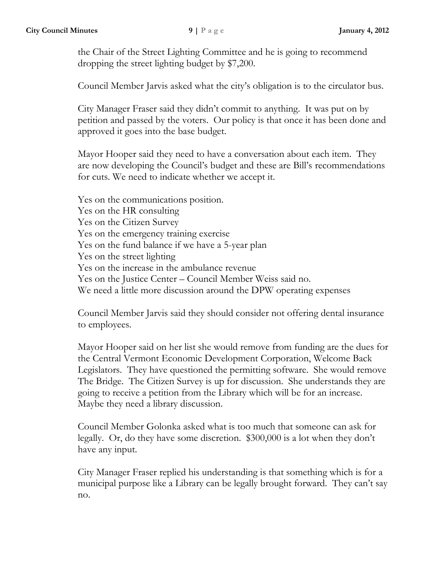the Chair of the Street Lighting Committee and he is going to recommend dropping the street lighting budget by \$7,200.

Council Member Jarvis asked what the city's obligation is to the circulator bus.

City Manager Fraser said they didn't commit to anything. It was put on by petition and passed by the voters. Our policy is that once it has been done and approved it goes into the base budget.

Mayor Hooper said they need to have a conversation about each item. They are now developing the Council's budget and these are Bill's recommendations for cuts. We need to indicate whether we accept it.

Yes on the communications position. Yes on the HR consulting Yes on the Citizen Survey Yes on the emergency training exercise Yes on the fund balance if we have a 5-year plan Yes on the street lighting Yes on the increase in the ambulance revenue Yes on the Justice Center – Council Member Weiss said no. We need a little more discussion around the DPW operating expenses

Council Member Jarvis said they should consider not offering dental insurance to employees.

Mayor Hooper said on her list she would remove from funding are the dues for the Central Vermont Economic Development Corporation, Welcome Back Legislators. They have questioned the permitting software. She would remove The Bridge. The Citizen Survey is up for discussion. She understands they are going to receive a petition from the Library which will be for an increase. Maybe they need a library discussion.

Council Member Golonka asked what is too much that someone can ask for legally. Or, do they have some discretion. \$300,000 is a lot when they don't have any input.

City Manager Fraser replied his understanding is that something which is for a municipal purpose like a Library can be legally brought forward. They can't say no.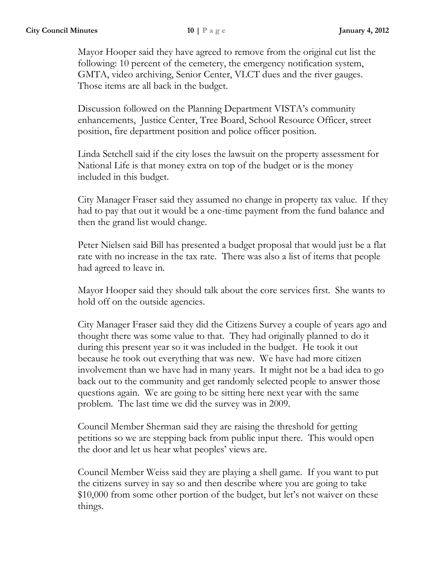Mayor Hooper said they have agreed to remove from the original cut list the following: 10 percent of the cemetery, the emergency notification system, GMTA, video archiving, Senior Center, VLCT dues and the river gauges. Those items are all back in the budget.

Discussion followed on the Planning Department VISTA's community enhancements, Justice Center, Tree Board, School Resource Officer, street position, fire department position and police officer position.

Linda Setchell said if the city loses the lawsuit on the property assessment for National Life is that money extra on top of the budget or is the money included in this budget.

City Manager Fraser said they assumed no change in property tax value. If they had to pay that out it would be a one-time payment from the fund balance and then the grand list would change.

Peter Nielsen said Bill has presented a budget proposal that would just be a flat rate with no increase in the tax rate. There was also a list of items that people had agreed to leave in.

Mayor Hooper said they should talk about the core services first. She wants to hold off on the outside agencies.

City Manager Fraser said they did the Citizens Survey a couple of years ago and thought there was some value to that. They had originally planned to do it during this present year so it was included in the budget. He took it out because he took out everything that was new. We have had more citizen involvement than we have had in many years. It might not be a bad idea to go back out to the community and get randomly selected people to answer those questions again. We are going to be sitting here next year with the same problem. The last time we did the survey was in 2009.

Council Member Sherman said they are raising the threshold for getting petitions so we are stepping back from public input there. This would open the door and let us hear what peoples' views are.

Council Member Weiss said they are playing a shell game. If you want to put the citizens survey in say so and then describe where you are going to take \$10,000 from some other portion of the budget, but let's not waiver on these things.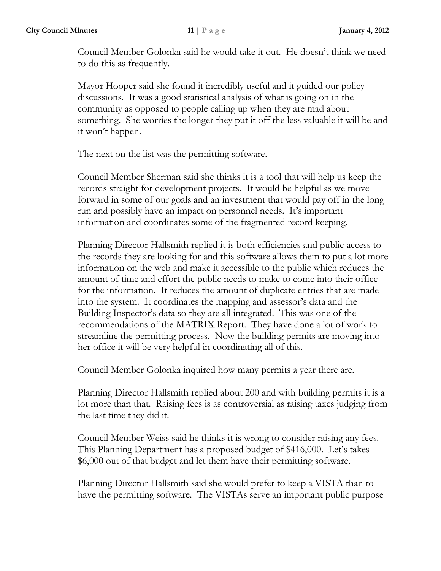Council Member Golonka said he would take it out. He doesn't think we need to do this as frequently.

Mayor Hooper said she found it incredibly useful and it guided our policy discussions. It was a good statistical analysis of what is going on in the community as opposed to people calling up when they are mad about something. She worries the longer they put it off the less valuable it will be and it won't happen.

The next on the list was the permitting software.

Council Member Sherman said she thinks it is a tool that will help us keep the records straight for development projects. It would be helpful as we move forward in some of our goals and an investment that would pay off in the long run and possibly have an impact on personnel needs. It's important information and coordinates some of the fragmented record keeping.

Planning Director Hallsmith replied it is both efficiencies and public access to the records they are looking for and this software allows them to put a lot more information on the web and make it accessible to the public which reduces the amount of time and effort the public needs to make to come into their office for the information. It reduces the amount of duplicate entries that are made into the system. It coordinates the mapping and assessor's data and the Building Inspector's data so they are all integrated. This was one of the recommendations of the MATRIX Report. They have done a lot of work to streamline the permitting process. Now the building permits are moving into her office it will be very helpful in coordinating all of this.

Council Member Golonka inquired how many permits a year there are.

Planning Director Hallsmith replied about 200 and with building permits it is a lot more than that. Raising fees is as controversial as raising taxes judging from the last time they did it.

Council Member Weiss said he thinks it is wrong to consider raising any fees. This Planning Department has a proposed budget of \$416,000. Let's takes \$6,000 out of that budget and let them have their permitting software.

Planning Director Hallsmith said she would prefer to keep a VISTA than to have the permitting software. The VISTAs serve an important public purpose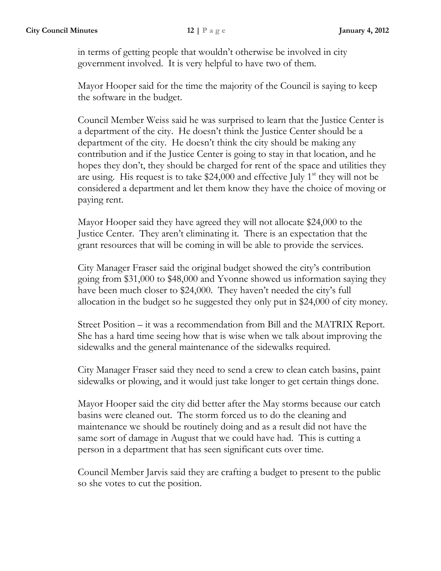in terms of getting people that wouldn't otherwise be involved in city government involved. It is very helpful to have two of them.

Mayor Hooper said for the time the majority of the Council is saying to keep the software in the budget.

Council Member Weiss said he was surprised to learn that the Justice Center is a department of the city. He doesn't think the Justice Center should be a department of the city. He doesn't think the city should be making any contribution and if the Justice Center is going to stay in that location, and he hopes they don't, they should be charged for rent of the space and utilities they are using. His request is to take \$24,000 and effective July  $1<sup>st</sup>$  they will not be considered a department and let them know they have the choice of moving or paying rent.

Mayor Hooper said they have agreed they will not allocate \$24,000 to the Justice Center. They aren't eliminating it. There is an expectation that the grant resources that will be coming in will be able to provide the services.

City Manager Fraser said the original budget showed the city's contribution going from \$31,000 to \$48,000 and Yvonne showed us information saying they have been much closer to \$24,000. They haven't needed the city's full allocation in the budget so he suggested they only put in \$24,000 of city money.

Street Position – it was a recommendation from Bill and the MATRIX Report. She has a hard time seeing how that is wise when we talk about improving the sidewalks and the general maintenance of the sidewalks required.

City Manager Fraser said they need to send a crew to clean catch basins, paint sidewalks or plowing, and it would just take longer to get certain things done.

Mayor Hooper said the city did better after the May storms because our catch basins were cleaned out. The storm forced us to do the cleaning and maintenance we should be routinely doing and as a result did not have the same sort of damage in August that we could have had. This is cutting a person in a department that has seen significant cuts over time.

Council Member Jarvis said they are crafting a budget to present to the public so she votes to cut the position.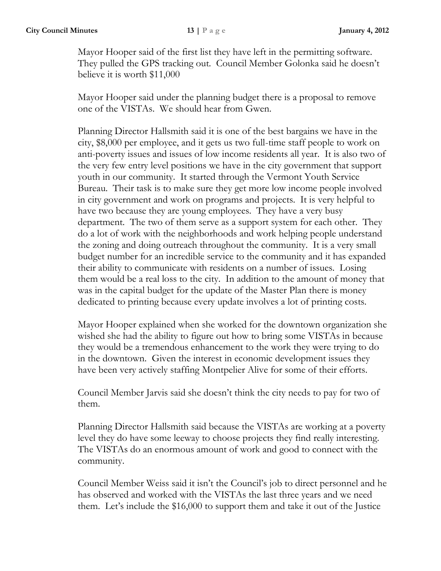Mayor Hooper said of the first list they have left in the permitting software. They pulled the GPS tracking out. Council Member Golonka said he doesn't believe it is worth \$11,000

Mayor Hooper said under the planning budget there is a proposal to remove one of the VISTAs. We should hear from Gwen.

Planning Director Hallsmith said it is one of the best bargains we have in the city, \$8,000 per employee, and it gets us two full-time staff people to work on anti-poverty issues and issues of low income residents all year. It is also two of the very few entry level positions we have in the city government that support youth in our community. It started through the Vermont Youth Service Bureau. Their task is to make sure they get more low income people involved in city government and work on programs and projects. It is very helpful to have two because they are young employees. They have a very busy department. The two of them serve as a support system for each other. They do a lot of work with the neighborhoods and work helping people understand the zoning and doing outreach throughout the community. It is a very small budget number for an incredible service to the community and it has expanded their ability to communicate with residents on a number of issues. Losing them would be a real loss to the city. In addition to the amount of money that was in the capital budget for the update of the Master Plan there is money dedicated to printing because every update involves a lot of printing costs.

Mayor Hooper explained when she worked for the downtown organization she wished she had the ability to figure out how to bring some VISTAs in because they would be a tremendous enhancement to the work they were trying to do in the downtown. Given the interest in economic development issues they have been very actively staffing Montpelier Alive for some of their efforts.

Council Member Jarvis said she doesn't think the city needs to pay for two of them.

Planning Director Hallsmith said because the VISTAs are working at a poverty level they do have some leeway to choose projects they find really interesting. The VISTAs do an enormous amount of work and good to connect with the community.

Council Member Weiss said it isn't the Council's job to direct personnel and he has observed and worked with the VISTAs the last three years and we need them. Let's include the \$16,000 to support them and take it out of the Justice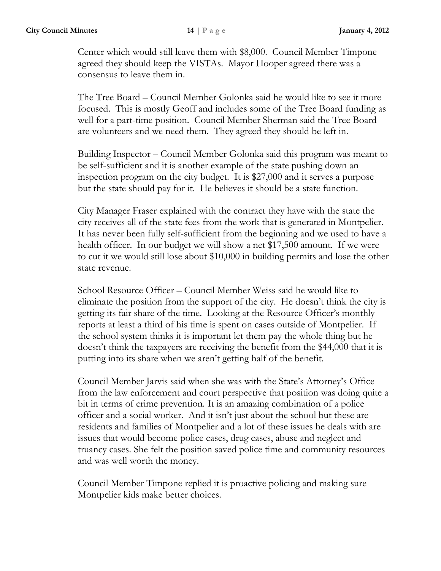Center which would still leave them with \$8,000. Council Member Timpone agreed they should keep the VISTAs. Mayor Hooper agreed there was a consensus to leave them in.

The Tree Board – Council Member Golonka said he would like to see it more focused. This is mostly Geoff and includes some of the Tree Board funding as well for a part-time position. Council Member Sherman said the Tree Board are volunteers and we need them. They agreed they should be left in.

Building Inspector – Council Member Golonka said this program was meant to be self-sufficient and it is another example of the state pushing down an inspection program on the city budget. It is \$27,000 and it serves a purpose but the state should pay for it. He believes it should be a state function.

City Manager Fraser explained with the contract they have with the state the city receives all of the state fees from the work that is generated in Montpelier. It has never been fully self-sufficient from the beginning and we used to have a health officer. In our budget we will show a net \$17,500 amount. If we were to cut it we would still lose about \$10,000 in building permits and lose the other state revenue.

School Resource Officer – Council Member Weiss said he would like to eliminate the position from the support of the city. He doesn't think the city is getting its fair share of the time. Looking at the Resource Officer's monthly reports at least a third of his time is spent on cases outside of Montpelier. If the school system thinks it is important let them pay the whole thing but he doesn't think the taxpayers are receiving the benefit from the \$44,000 that it is putting into its share when we aren't getting half of the benefit.

Council Member Jarvis said when she was with the State's Attorney's Office from the law enforcement and court perspective that position was doing quite a bit in terms of crime prevention. It is an amazing combination of a police officer and a social worker. And it isn't just about the school but these are residents and families of Montpelier and a lot of these issues he deals with are issues that would become police cases, drug cases, abuse and neglect and truancy cases. She felt the position saved police time and community resources and was well worth the money.

Council Member Timpone replied it is proactive policing and making sure Montpelier kids make better choices.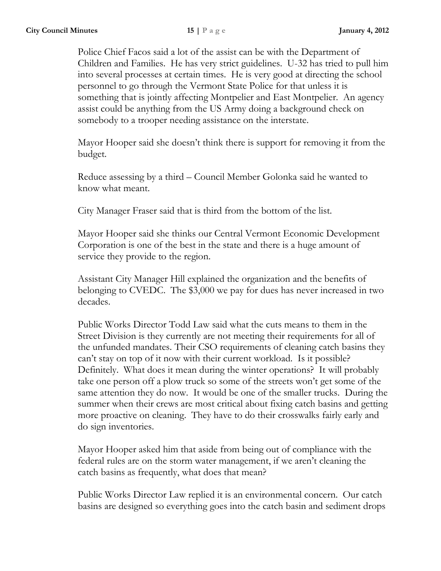Police Chief Facos said a lot of the assist can be with the Department of Children and Families. He has very strict guidelines. U-32 has tried to pull him into several processes at certain times. He is very good at directing the school personnel to go through the Vermont State Police for that unless it is something that is jointly affecting Montpelier and East Montpelier. An agency assist could be anything from the US Army doing a background check on somebody to a trooper needing assistance on the interstate.

Mayor Hooper said she doesn't think there is support for removing it from the budget.

Reduce assessing by a third – Council Member Golonka said he wanted to know what meant.

City Manager Fraser said that is third from the bottom of the list.

Mayor Hooper said she thinks our Central Vermont Economic Development Corporation is one of the best in the state and there is a huge amount of service they provide to the region.

Assistant City Manager Hill explained the organization and the benefits of belonging to CVEDC. The \$3,000 we pay for dues has never increased in two decades.

Public Works Director Todd Law said what the cuts means to them in the Street Division is they currently are not meeting their requirements for all of the unfunded mandates. Their CSO requirements of cleaning catch basins they can't stay on top of it now with their current workload. Is it possible? Definitely. What does it mean during the winter operations? It will probably take one person off a plow truck so some of the streets won't get some of the same attention they do now. It would be one of the smaller trucks. During the summer when their crews are most critical about fixing catch basins and getting more proactive on cleaning. They have to do their crosswalks fairly early and do sign inventories.

Mayor Hooper asked him that aside from being out of compliance with the federal rules are on the storm water management, if we aren't cleaning the catch basins as frequently, what does that mean?

Public Works Director Law replied it is an environmental concern. Our catch basins are designed so everything goes into the catch basin and sediment drops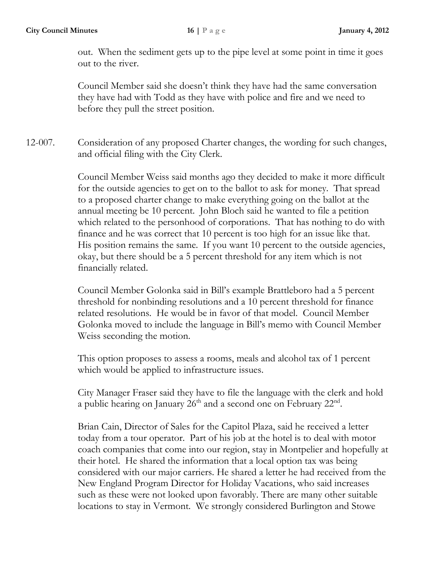out. When the sediment gets up to the pipe level at some point in time it goes out to the river.

Council Member said she doesn't think they have had the same conversation they have had with Todd as they have with police and fire and we need to before they pull the street position.

12-007. Consideration of any proposed Charter changes, the wording for such changes, and official filing with the City Clerk.

> Council Member Weiss said months ago they decided to make it more difficult for the outside agencies to get on to the ballot to ask for money. That spread to a proposed charter change to make everything going on the ballot at the annual meeting be 10 percent. John Bloch said he wanted to file a petition which related to the personhood of corporations. That has nothing to do with finance and he was correct that 10 percent is too high for an issue like that. His position remains the same. If you want 10 percent to the outside agencies, okay, but there should be a 5 percent threshold for any item which is not financially related.

Council Member Golonka said in Bill's example Brattleboro had a 5 percent threshold for nonbinding resolutions and a 10 percent threshold for finance related resolutions. He would be in favor of that model. Council Member Golonka moved to include the language in Bill's memo with Council Member Weiss seconding the motion.

This option proposes to assess a rooms, meals and alcohol tax of 1 percent which would be applied to infrastructure issues.

City Manager Fraser said they have to file the language with the clerk and hold a public hearing on January  $26<sup>th</sup>$  and a second one on February  $22<sup>nd</sup>$ .

Brian Cain, Director of Sales for the Capitol Plaza, said he received a letter today from a tour operator. Part of his job at the hotel is to deal with motor coach companies that come into our region, stay in Montpelier and hopefully at their hotel. He shared the information that a local option tax was being considered with our major carriers. He shared a letter he had received from the New England Program Director for Holiday Vacations, who said increases such as these were not looked upon favorably. There are many other suitable locations to stay in Vermont. We strongly considered Burlington and Stowe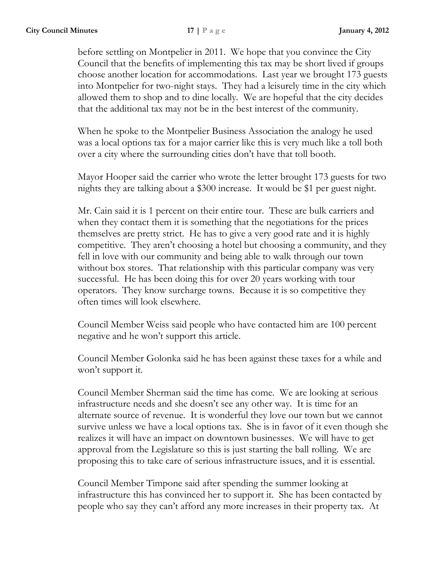before settling on Montpelier in 2011. We hope that you convince the City Council that the benefits of implementing this tax may be short lived if groups choose another location for accommodations. Last year we brought 173 guests into Montpelier for two-night stays. They had a leisurely time in the city which allowed them to shop and to dine locally. We are hopeful that the city decides that the additional tax may not be in the best interest of the community.

When he spoke to the Montpelier Business Association the analogy he used was a local options tax for a major carrier like this is very much like a toll both over a city where the surrounding cities don't have that toll booth.

Mayor Hooper said the carrier who wrote the letter brought 173 guests for two nights they are talking about a \$300 increase. It would be \$1 per guest night.

Mr. Cain said it is 1 percent on their entire tour. These are bulk carriers and when they contact them it is something that the negotiations for the prices themselves are pretty strict. He has to give a very good rate and it is highly competitive. They aren't choosing a hotel but choosing a community, and they fell in love with our community and being able to walk through our town without box stores. That relationship with this particular company was very successful. He has been doing this for over 20 years working with tour operators. They know surcharge towns. Because it is so competitive they often times will look elsewhere.

Council Member Weiss said people who have contacted him are 100 percent negative and he won't support this article.

Council Member Golonka said he has been against these taxes for a while and won't support it.

Council Member Sherman said the time has come. We are looking at serious infrastructure needs and she doesn't see any other way. It is time for an alternate source of revenue. It is wonderful they love our town but we cannot survive unless we have a local options tax. She is in favor of it even though she realizes it will have an impact on downtown businesses. We will have to get approval from the Legislature so this is just starting the ball rolling. We are proposing this to take care of serious infrastructure issues, and it is essential.

Council Member Timpone said after spending the summer looking at infrastructure this has convinced her to support it. She has been contacted by people who say they can't afford any more increases in their property tax. At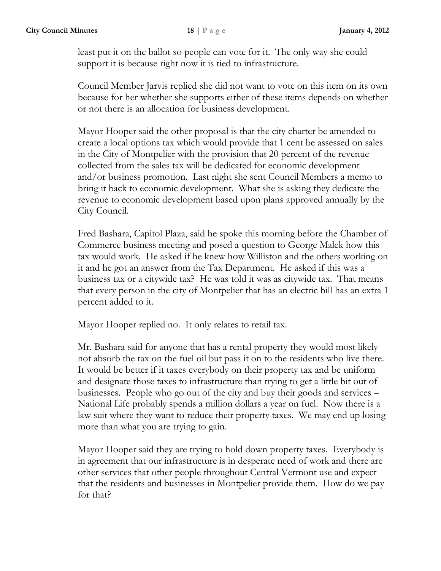least put it on the ballot so people can vote for it. The only way she could support it is because right now it is tied to infrastructure.

Council Member Jarvis replied she did not want to vote on this item on its own because for her whether she supports either of these items depends on whether or not there is an allocation for business development.

Mayor Hooper said the other proposal is that the city charter be amended to create a local options tax which would provide that 1 cent be assessed on sales in the City of Montpelier with the provision that 20 percent of the revenue collected from the sales tax will be dedicated for economic development and/or business promotion. Last night she sent Council Members a memo to bring it back to economic development. What she is asking they dedicate the revenue to economic development based upon plans approved annually by the City Council.

Fred Bashara, Capitol Plaza, said he spoke this morning before the Chamber of Commerce business meeting and posed a question to George Malek how this tax would work. He asked if he knew how Williston and the others working on it and he got an answer from the Tax Department. He asked if this was a business tax or a citywide tax? He was told it was as citywide tax. That means that every person in the city of Montpelier that has an electric bill has an extra 1 percent added to it.

Mayor Hooper replied no. It only relates to retail tax.

Mr. Bashara said for anyone that has a rental property they would most likely not absorb the tax on the fuel oil but pass it on to the residents who live there. It would be better if it taxes everybody on their property tax and be uniform and designate those taxes to infrastructure than trying to get a little bit out of businesses. People who go out of the city and buy their goods and services – National Life probably spends a million dollars a year on fuel. Now there is a law suit where they want to reduce their property taxes. We may end up losing more than what you are trying to gain.

Mayor Hooper said they are trying to hold down property taxes. Everybody is in agreement that our infrastructure is in desperate need of work and there are other services that other people throughout Central Vermont use and expect that the residents and businesses in Montpelier provide them. How do we pay for that?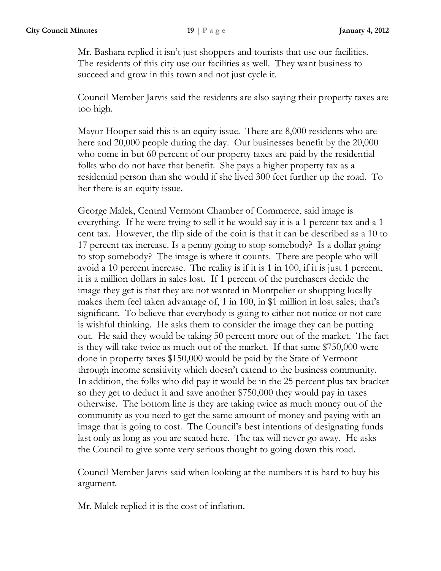Mr. Bashara replied it isn't just shoppers and tourists that use our facilities. The residents of this city use our facilities as well. They want business to succeed and grow in this town and not just cycle it.

Council Member Jarvis said the residents are also saying their property taxes are too high.

Mayor Hooper said this is an equity issue. There are 8,000 residents who are here and 20,000 people during the day. Our businesses benefit by the 20,000 who come in but 60 percent of our property taxes are paid by the residential folks who do not have that benefit. She pays a higher property tax as a residential person than she would if she lived 300 feet further up the road. To her there is an equity issue.

George Malek, Central Vermont Chamber of Commerce, said image is everything. If he were trying to sell it he would say it is a 1 percent tax and a 1 cent tax. However, the flip side of the coin is that it can be described as a 10 to 17 percent tax increase. Is a penny going to stop somebody? Is a dollar going to stop somebody? The image is where it counts. There are people who will avoid a 10 percent increase. The reality is if it is 1 in 100, if it is just 1 percent, it is a million dollars in sales lost. If 1 percent of the purchasers decide the image they get is that they are not wanted in Montpelier or shopping locally makes them feel taken advantage of, 1 in 100, in \$1 million in lost sales; that's significant. To believe that everybody is going to either not notice or not care is wishful thinking. He asks them to consider the image they can be putting out. He said they would be taking 50 percent more out of the market. The fact is they will take twice as much out of the market. If that same \$750,000 were done in property taxes \$150,000 would be paid by the State of Vermont through income sensitivity which doesn't extend to the business community. In addition, the folks who did pay it would be in the 25 percent plus tax bracket so they get to deduct it and save another \$750,000 they would pay in taxes otherwise. The bottom line is they are taking twice as much money out of the community as you need to get the same amount of money and paying with an image that is going to cost. The Council's best intentions of designating funds last only as long as you are seated here. The tax will never go away. He asks the Council to give some very serious thought to going down this road.

Council Member Jarvis said when looking at the numbers it is hard to buy his argument.

Mr. Malek replied it is the cost of inflation.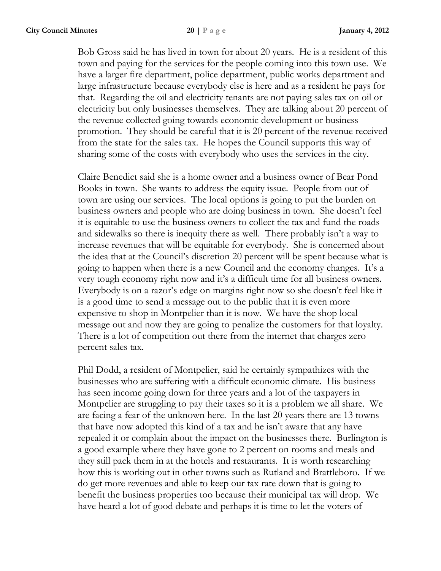Bob Gross said he has lived in town for about 20 years. He is a resident of this town and paying for the services for the people coming into this town use. We have a larger fire department, police department, public works department and large infrastructure because everybody else is here and as a resident he pays for that. Regarding the oil and electricity tenants are not paying sales tax on oil or electricity but only businesses themselves. They are talking about 20 percent of the revenue collected going towards economic development or business promotion. They should be careful that it is 20 percent of the revenue received from the state for the sales tax. He hopes the Council supports this way of sharing some of the costs with everybody who uses the services in the city.

Claire Benedict said she is a home owner and a business owner of Bear Pond Books in town. She wants to address the equity issue. People from out of town are using our services. The local options is going to put the burden on business owners and people who are doing business in town. She doesn't feel it is equitable to use the business owners to collect the tax and fund the roads and sidewalks so there is inequity there as well. There probably isn't a way to increase revenues that will be equitable for everybody. She is concerned about the idea that at the Council's discretion 20 percent will be spent because what is going to happen when there is a new Council and the economy changes. It's a very tough economy right now and it's a difficult time for all business owners. Everybody is on a razor's edge on margins right now so she doesn't feel like it is a good time to send a message out to the public that it is even more expensive to shop in Montpelier than it is now. We have the shop local message out and now they are going to penalize the customers for that loyalty. There is a lot of competition out there from the internet that charges zero percent sales tax.

Phil Dodd, a resident of Montpelier, said he certainly sympathizes with the businesses who are suffering with a difficult economic climate. His business has seen income going down for three years and a lot of the taxpayers in Montpelier are struggling to pay their taxes so it is a problem we all share. We are facing a fear of the unknown here. In the last 20 years there are 13 towns that have now adopted this kind of a tax and he isn't aware that any have repealed it or complain about the impact on the businesses there. Burlington is a good example where they have gone to 2 percent on rooms and meals and they still pack them in at the hotels and restaurants. It is worth researching how this is working out in other towns such as Rutland and Brattleboro. If we do get more revenues and able to keep our tax rate down that is going to benefit the business properties too because their municipal tax will drop. We have heard a lot of good debate and perhaps it is time to let the voters of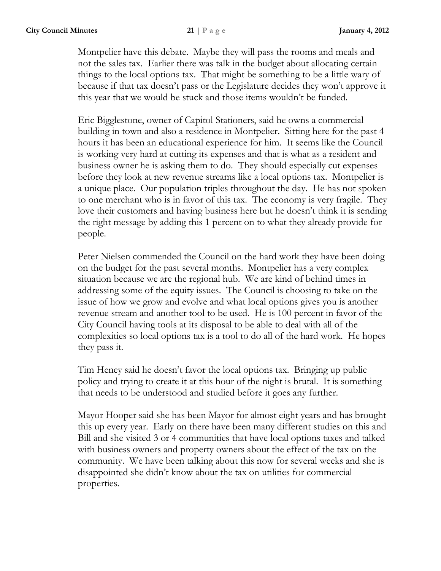Montpelier have this debate. Maybe they will pass the rooms and meals and not the sales tax. Earlier there was talk in the budget about allocating certain things to the local options tax. That might be something to be a little wary of because if that tax doesn't pass or the Legislature decides they won't approve it this year that we would be stuck and those items wouldn't be funded.

Eric Bigglestone, owner of Capitol Stationers, said he owns a commercial building in town and also a residence in Montpelier. Sitting here for the past 4 hours it has been an educational experience for him. It seems like the Council is working very hard at cutting its expenses and that is what as a resident and business owner he is asking them to do. They should especially cut expenses before they look at new revenue streams like a local options tax. Montpelier is a unique place. Our population triples throughout the day. He has not spoken to one merchant who is in favor of this tax. The economy is very fragile. They love their customers and having business here but he doesn't think it is sending the right message by adding this 1 percent on to what they already provide for people.

Peter Nielsen commended the Council on the hard work they have been doing on the budget for the past several months. Montpelier has a very complex situation because we are the regional hub. We are kind of behind times in addressing some of the equity issues. The Council is choosing to take on the issue of how we grow and evolve and what local options gives you is another revenue stream and another tool to be used. He is 100 percent in favor of the City Council having tools at its disposal to be able to deal with all of the complexities so local options tax is a tool to do all of the hard work. He hopes they pass it.

Tim Heney said he doesn't favor the local options tax. Bringing up public policy and trying to create it at this hour of the night is brutal. It is something that needs to be understood and studied before it goes any further.

Mayor Hooper said she has been Mayor for almost eight years and has brought this up every year. Early on there have been many different studies on this and Bill and she visited 3 or 4 communities that have local options taxes and talked with business owners and property owners about the effect of the tax on the community. We have been talking about this now for several weeks and she is disappointed she didn't know about the tax on utilities for commercial properties.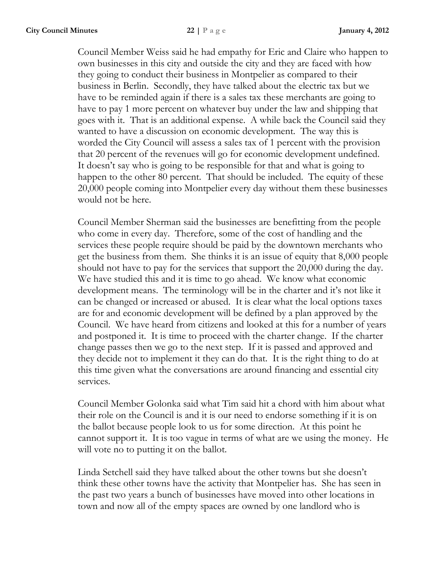Council Member Weiss said he had empathy for Eric and Claire who happen to own businesses in this city and outside the city and they are faced with how they going to conduct their business in Montpelier as compared to their business in Berlin. Secondly, they have talked about the electric tax but we have to be reminded again if there is a sales tax these merchants are going to have to pay 1 more percent on whatever buy under the law and shipping that goes with it. That is an additional expense. A while back the Council said they wanted to have a discussion on economic development. The way this is worded the City Council will assess a sales tax of 1 percent with the provision that 20 percent of the revenues will go for economic development undefined. It doesn't say who is going to be responsible for that and what is going to happen to the other 80 percent. That should be included. The equity of these 20,000 people coming into Montpelier every day without them these businesses would not be here.

Council Member Sherman said the businesses are benefitting from the people who come in every day. Therefore, some of the cost of handling and the services these people require should be paid by the downtown merchants who get the business from them. She thinks it is an issue of equity that 8,000 people should not have to pay for the services that support the 20,000 during the day. We have studied this and it is time to go ahead. We know what economic development means. The terminology will be in the charter and it's not like it can be changed or increased or abused. It is clear what the local options taxes are for and economic development will be defined by a plan approved by the Council. We have heard from citizens and looked at this for a number of years and postponed it. It is time to proceed with the charter change. If the charter change passes then we go to the next step. If it is passed and approved and they decide not to implement it they can do that. It is the right thing to do at this time given what the conversations are around financing and essential city services.

Council Member Golonka said what Tim said hit a chord with him about what their role on the Council is and it is our need to endorse something if it is on the ballot because people look to us for some direction. At this point he cannot support it. It is too vague in terms of what are we using the money. He will vote no to putting it on the ballot.

Linda Setchell said they have talked about the other towns but she doesn't think these other towns have the activity that Montpelier has. She has seen in the past two years a bunch of businesses have moved into other locations in town and now all of the empty spaces are owned by one landlord who is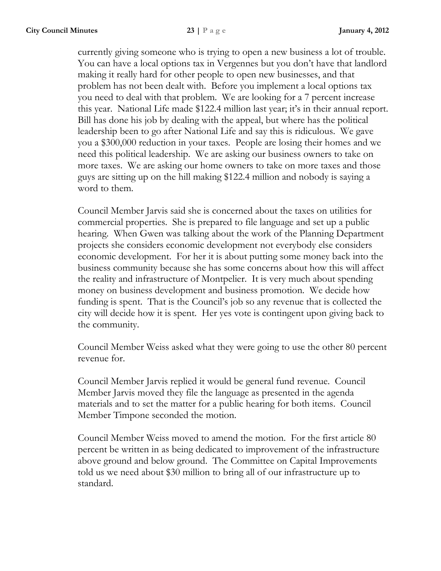currently giving someone who is trying to open a new business a lot of trouble. You can have a local options tax in Vergennes but you don't have that landlord making it really hard for other people to open new businesses, and that problem has not been dealt with. Before you implement a local options tax you need to deal with that problem. We are looking for a 7 percent increase this year. National Life made \$122.4 million last year; it's in their annual report. Bill has done his job by dealing with the appeal, but where has the political leadership been to go after National Life and say this is ridiculous. We gave you a \$300,000 reduction in your taxes. People are losing their homes and we need this political leadership. We are asking our business owners to take on more taxes. We are asking our home owners to take on more taxes and those guys are sitting up on the hill making \$122.4 million and nobody is saying a word to them.

Council Member Jarvis said she is concerned about the taxes on utilities for commercial properties. She is prepared to file language and set up a public hearing. When Gwen was talking about the work of the Planning Department projects she considers economic development not everybody else considers economic development. For her it is about putting some money back into the business community because she has some concerns about how this will affect the reality and infrastructure of Montpelier. It is very much about spending money on business development and business promotion. We decide how funding is spent. That is the Council's job so any revenue that is collected the city will decide how it is spent. Her yes vote is contingent upon giving back to the community.

Council Member Weiss asked what they were going to use the other 80 percent revenue for.

Council Member Jarvis replied it would be general fund revenue. Council Member Jarvis moved they file the language as presented in the agenda materials and to set the matter for a public hearing for both items. Council Member Timpone seconded the motion.

Council Member Weiss moved to amend the motion. For the first article 80 percent be written in as being dedicated to improvement of the infrastructure above ground and below ground. The Committee on Capital Improvements told us we need about \$30 million to bring all of our infrastructure up to standard.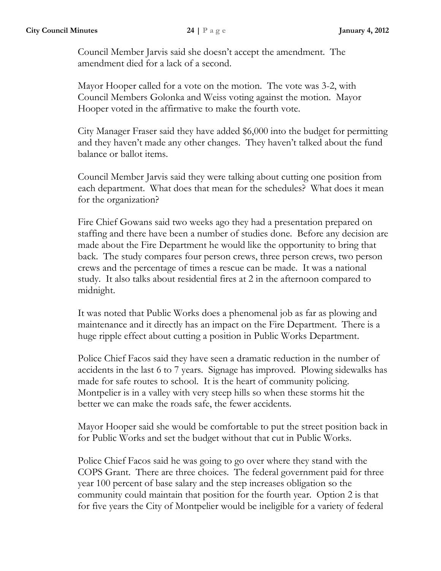Council Member Jarvis said she doesn't accept the amendment. The amendment died for a lack of a second.

Mayor Hooper called for a vote on the motion. The vote was 3-2, with Council Members Golonka and Weiss voting against the motion. Mayor Hooper voted in the affirmative to make the fourth vote.

City Manager Fraser said they have added \$6,000 into the budget for permitting and they haven't made any other changes. They haven't talked about the fund balance or ballot items.

Council Member Jarvis said they were talking about cutting one position from each department. What does that mean for the schedules? What does it mean for the organization?

Fire Chief Gowans said two weeks ago they had a presentation prepared on staffing and there have been a number of studies done. Before any decision are made about the Fire Department he would like the opportunity to bring that back. The study compares four person crews, three person crews, two person crews and the percentage of times a rescue can be made. It was a national study. It also talks about residential fires at 2 in the afternoon compared to midnight.

It was noted that Public Works does a phenomenal job as far as plowing and maintenance and it directly has an impact on the Fire Department. There is a huge ripple effect about cutting a position in Public Works Department.

Police Chief Facos said they have seen a dramatic reduction in the number of accidents in the last 6 to 7 years. Signage has improved. Plowing sidewalks has made for safe routes to school. It is the heart of community policing. Montpelier is in a valley with very steep hills so when these storms hit the better we can make the roads safe, the fewer accidents.

Mayor Hooper said she would be comfortable to put the street position back in for Public Works and set the budget without that cut in Public Works.

Police Chief Facos said he was going to go over where they stand with the COPS Grant. There are three choices. The federal government paid for three year 100 percent of base salary and the step increases obligation so the community could maintain that position for the fourth year. Option 2 is that for five years the City of Montpelier would be ineligible for a variety of federal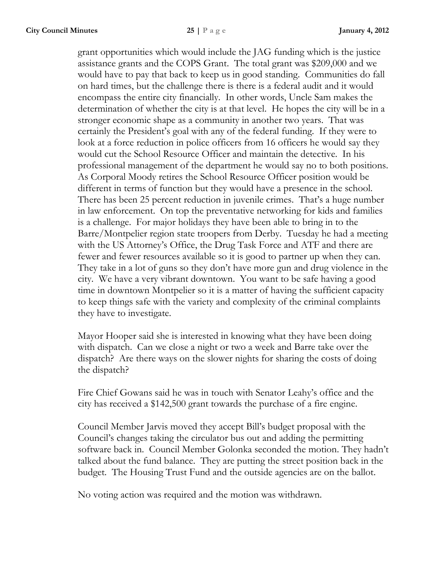grant opportunities which would include the JAG funding which is the justice assistance grants and the COPS Grant. The total grant was \$209,000 and we would have to pay that back to keep us in good standing. Communities do fall on hard times, but the challenge there is there is a federal audit and it would encompass the entire city financially. In other words, Uncle Sam makes the determination of whether the city is at that level. He hopes the city will be in a stronger economic shape as a community in another two years. That was certainly the President's goal with any of the federal funding. If they were to look at a force reduction in police officers from 16 officers he would say they would cut the School Resource Officer and maintain the detective. In his professional management of the department he would say no to both positions. As Corporal Moody retires the School Resource Officer position would be different in terms of function but they would have a presence in the school. There has been 25 percent reduction in juvenile crimes. That's a huge number in law enforcement. On top the preventative networking for kids and families is a challenge. For major holidays they have been able to bring in to the Barre/Montpelier region state troopers from Derby. Tuesday he had a meeting with the US Attorney's Office, the Drug Task Force and ATF and there are fewer and fewer resources available so it is good to partner up when they can. They take in a lot of guns so they don't have more gun and drug violence in the city. We have a very vibrant downtown. You want to be safe having a good time in downtown Montpelier so it is a matter of having the sufficient capacity to keep things safe with the variety and complexity of the criminal complaints they have to investigate.

Mayor Hooper said she is interested in knowing what they have been doing with dispatch. Can we close a night or two a week and Barre take over the dispatch? Are there ways on the slower nights for sharing the costs of doing the dispatch?

Fire Chief Gowans said he was in touch with Senator Leahy's office and the city has received a \$142,500 grant towards the purchase of a fire engine.

Council Member Jarvis moved they accept Bill's budget proposal with the Council's changes taking the circulator bus out and adding the permitting software back in. Council Member Golonka seconded the motion. They hadn't talked about the fund balance. They are putting the street position back in the budget. The Housing Trust Fund and the outside agencies are on the ballot.

No voting action was required and the motion was withdrawn.